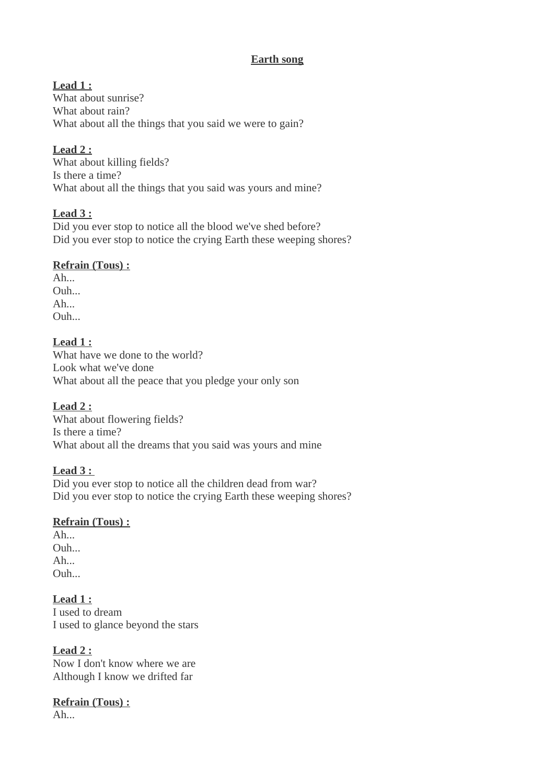#### **Earth song**

## **Lead 1 :**

What about sunrise? What about rain? What about all the things that you said we were to gain?

# **Lead 2 :**

What about killing fields? Is there a time? What about all the things that you said was yours and mine?

## **Lead 3 :**

Did you ever stop to notice all the blood we've shed before? Did you ever stop to notice the crying Earth these weeping shores?

#### **Refrain (Tous) :**

Ah... Ouh... Ah... Ouh...

## **Lead 1 :**

What have we done to the world? Look what we've done What about all the peace that you pledge your only son

## **Lead 2 :**

What about flowering fields? Is there a time? What about all the dreams that you said was yours and mine

## **Lead 3 :**

Did you ever stop to notice all the children dead from war? Did you ever stop to notice the crying Earth these weeping shores?

## **Refrain (Tous) :**

Ah... Ouh... Ah... Ouh...

 **Lead 1 :** I used to dream I used to glance beyond the stars

 **Lead 2 :** Now I don't know where we are Although I know we drifted far

# **Refrain (Tous) :**

Ah...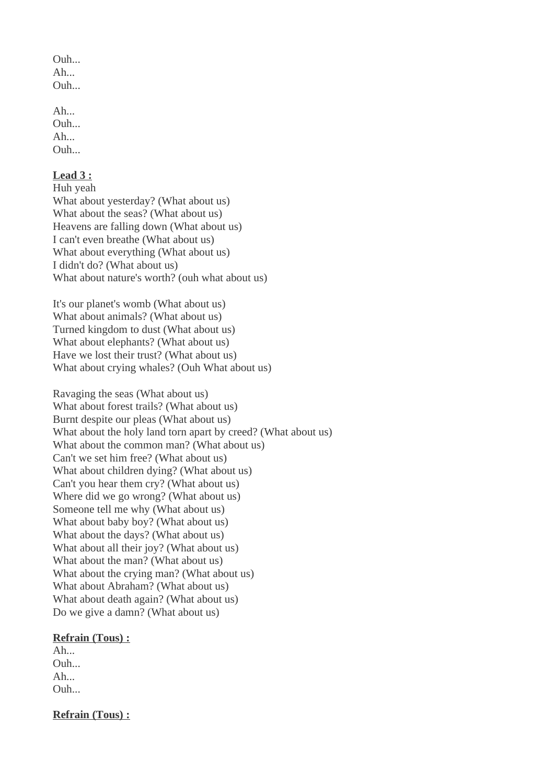Ouh... Ah... Ouh...

Ah... Ouh...  $Ah...$ Ouh...

#### **Lead 3 :**

Huh yeah What about yesterday? (What about us) What about the seas? (What about us) Heavens are falling down (What about us) I can't even breathe (What about us) What about everything (What about us) I didn't do? (What about us) What about nature's worth? (ouh what about us)

It's our planet's womb (What about us) What about animals? (What about us) Turned kingdom to dust (What about us) What about elephants? (What about us) Have we lost their trust? (What about us) What about crying whales? (Ouh What about us)

Ravaging the seas (What about us) What about forest trails? (What about us) Burnt despite our pleas (What about us) What about the holy land torn apart by creed? (What about us) What about the common man? (What about us) Can't we set him free? (What about us) What about children dying? (What about us) Can't you hear them cry? (What about us) Where did we go wrong? (What about us) Someone tell me why (What about us) What about baby boy? (What about us) What about the days? (What about us) What about all their joy? (What about us) What about the man? (What about us) What about the crying man? (What about us) What about Abraham? (What about us) What about death again? (What about us) Do we give a damn? (What about us)

#### **Refrain (Tous) :**

 $Ah...$ Ouh... Ah...  $O<sub>11</sub>h$ ...

 **Refrain (Tous) :**